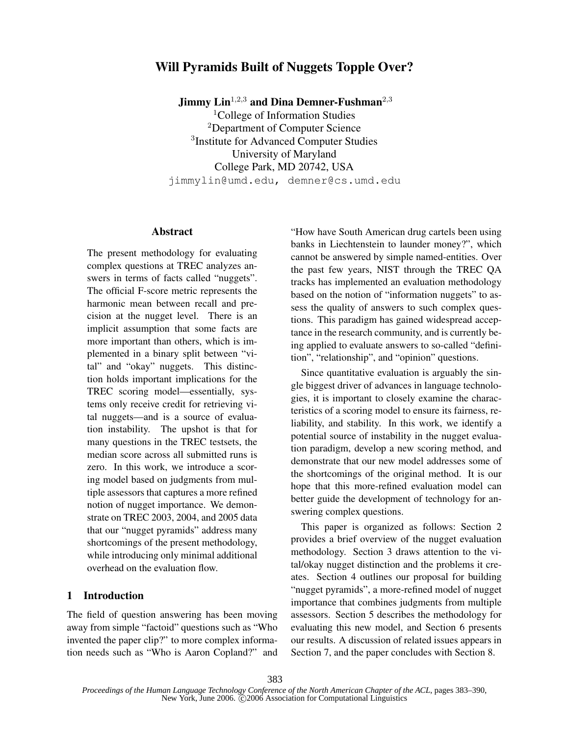# Will Pyramids Built of Nuggets Topple Over?

Jimmy  $\text{Lin}^{1,2,3}$  and Dina Demner-Fushman<sup>2,3</sup>

<sup>1</sup>College of Information Studies <sup>2</sup>Department of Computer Science 3 Institute for Advanced Computer Studies University of Maryland College Park, MD 20742, USA jimmylin@umd.edu, demner@cs.umd.edu

#### Abstract

The present methodology for evaluating complex questions at TREC analyzes answers in terms of facts called "nuggets". The official F-score metric represents the harmonic mean between recall and precision at the nugget level. There is an implicit assumption that some facts are more important than others, which is implemented in a binary split between "vital" and "okay" nuggets. This distinction holds important implications for the TREC scoring model—essentially, systems only receive credit for retrieving vital nuggets—and is a source of evaluation instability. The upshot is that for many questions in the TREC testsets, the median score across all submitted runs is zero. In this work, we introduce a scoring model based on judgments from multiple assessors that captures a more refined notion of nugget importance. We demonstrate on TREC 2003, 2004, and 2005 data that our "nugget pyramids" address many shortcomings of the present methodology, while introducing only minimal additional overhead on the evaluation flow.

## 1 Introduction

The field of question answering has been moving away from simple "factoid" questions such as "Who invented the paper clip?" to more complex information needs such as "Who is Aaron Copland?" and "How have South American drug cartels been using banks in Liechtenstein to launder money?", which cannot be answered by simple named-entities. Over the past few years, NIST through the TREC QA tracks has implemented an evaluation methodology based on the notion of "information nuggets" to assess the quality of answers to such complex questions. This paradigm has gained widespread acceptance in the research community, and is currently being applied to evaluate answers to so-called "definition", "relationship", and "opinion" questions.

Since quantitative evaluation is arguably the single biggest driver of advances in language technologies, it is important to closely examine the characteristics of a scoring model to ensure its fairness, reliability, and stability. In this work, we identify a potential source of instability in the nugget evaluation paradigm, develop a new scoring method, and demonstrate that our new model addresses some of the shortcomings of the original method. It is our hope that this more-refined evaluation model can better guide the development of technology for answering complex questions.

This paper is organized as follows: Section 2 provides a brief overview of the nugget evaluation methodology. Section 3 draws attention to the vital/okay nugget distinction and the problems it creates. Section 4 outlines our proposal for building "nugget pyramids", a more-refined model of nugget importance that combines judgments from multiple assessors. Section 5 describes the methodology for evaluating this new model, and Section 6 presents our results. A discussion of related issues appears in Section 7, and the paper concludes with Section 8.

*Proceedings of the Human Language Technology Conference of the North American Chapter of the ACL*, pages 383–390, New York, June 2006.  $\ddot{\text{C}}$ 2006 Association for Computational Linguistics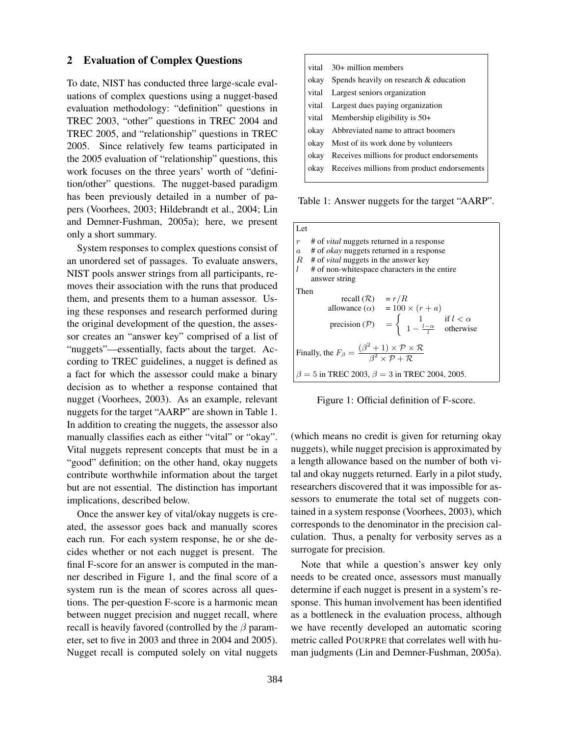## 2 Evaluation of Complex Questions

To date, NIST has conducted three large-scale evaluations of complex questions using a nugget-based evaluation methodology: "definition" questions in TREC 2003, "other" questions in TREC 2004 and TREC 2005, and "relationship" questions in TREC 2005. Since relatively few teams participated in the 2005 evaluation of "relationship" questions, this work focuses on the three years' worth of "definition/other" questions. The nugget-based paradigm has been previously detailed in a number of papers (Voorhees, 2003; Hildebrandt et al., 2004; Lin and Demner-Fushman, 2005a); here, we present only a short summary.

System responses to complex questions consist of an unordered set of passages. To evaluate answers, NIST pools answer strings from all participants, removes their association with the runs that produced them, and presents them to a human assessor. Using these responses and research performed during the original development of the question, the assessor creates an "answer key" comprised of a list of "nuggets"—essentially, facts about the target. According to TREC guidelines, a nugget is defined as a fact for which the assessor could make a binary decision as to whether a response contained that nugget (Voorhees, 2003). As an example, relevant nuggets for the target "AARP" are shown in Table 1. In addition to creating the nuggets, the assessor also manually classifies each as either "vital" or "okay". Vital nuggets represent concepts that must be in a "good" definition; on the other hand, okay nuggets contribute worthwhile information about the target but are not essential. The distinction has important implications, described below.

Once the answer key of vital/okay nuggets is created, the assessor goes back and manually scores each run. For each system response, he or she decides whether or not each nugget is present. The final F-score for an answer is computed in the manner described in Figure 1, and the final score of a system run is the mean of scores across all questions. The per-question F-score is a harmonic mean between nugget precision and nugget recall, where recall is heavily favored (controlled by the  $\beta$  parameter, set to five in 2003 and three in 2004 and 2005). Nugget recall is computed solely on vital nuggets

|      | vital 30+ million members                   |  |
|------|---------------------------------------------|--|
|      | okay Spends heavily on research & education |  |
|      | vital Largest seniors organization          |  |
|      | vital Largest dues paying organization      |  |
|      | vital Membership eligibility is $50+$       |  |
|      | okay Abbreviated name to attract boomers    |  |
| okav | Most of its work done by volunteers         |  |
| okay | Receives millions for product endorsements  |  |
| okav | Receives millions from product endorsements |  |
|      |                                             |  |

Table 1: Answer nuggets for the target "AARP".

| Let                                                                                                                                                                                                                                                                                                                     |
|-------------------------------------------------------------------------------------------------------------------------------------------------------------------------------------------------------------------------------------------------------------------------------------------------------------------------|
| # of <i>vital</i> nuggets returned in a response<br>$\,r\,$<br>$\begin{array}{ll}\n a & \text{# of } \text{okay} \text{ suggests returned in a response} \\ R & \text{# of } \text{vital} \text{ suggests in the answer key} \\ l & \text{# of non-whitespace characters in the entire}\n \end{array}$<br>answer string |
| Then<br>recall ( <i>R</i> ) = $r/R$<br>allowance ( $\alpha$ ) = 100 × ( $r + a$ )<br>precision (P) $=$ $\begin{cases} 1 & \text{if } l < \alpha \\ 1 - \frac{l - \alpha}{l} & \text{otherwise} \end{cases}$                                                                                                             |
| Finally, the $F_{\beta} = \frac{(\beta^2 + 1) \times \mathcal{P} \times \mathcal{R}}{\beta^2 \times \mathcal{P} + \mathcal{R}}$                                                                                                                                                                                         |
| $\beta = 5$ in TREC 2003, $\beta = 3$ in TREC 2004, 2005.                                                                                                                                                                                                                                                               |

Figure 1: Official definition of F-score.

(which means no credit is given for returning okay nuggets), while nugget precision is approximated by a length allowance based on the number of both vital and okay nuggets returned. Early in a pilot study, researchers discovered that it was impossible for assessors to enumerate the total set of nuggets contained in a system response (Voorhees, 2003), which corresponds to the denominator in the precision calculation. Thus, a penalty for verbosity serves as a surrogate for precision.

Note that while a question's answer key only needs to be created once, assessors must manually determine if each nugget is present in a system's response. This human involvement has been identified as a bottleneck in the evaluation process, although we have recently developed an automatic scoring metric called POURPRE that correlates well with human judgments (Lin and Demner-Fushman, 2005a).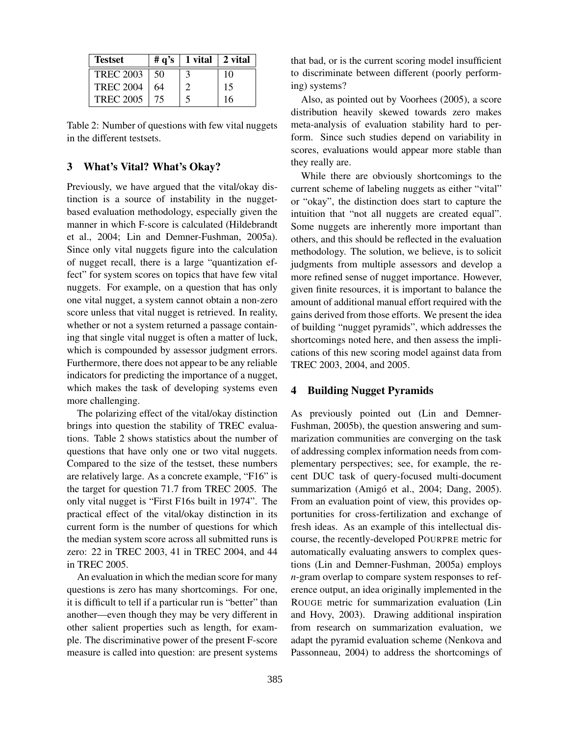| <b>Testset</b>   |    | # $q$ 's   1 vital   2 vital |    |
|------------------|----|------------------------------|----|
| <b>TREC 2003</b> | 50 |                              | 10 |
| <b>TREC 2004</b> | 64 | 2                            | 15 |
| <b>TREC 2005</b> | 75 | 5                            | 16 |

Table 2: Number of questions with few vital nuggets in the different testsets.

# 3 What's Vital? What's Okay?

Previously, we have argued that the vital/okay distinction is a source of instability in the nuggetbased evaluation methodology, especially given the manner in which F-score is calculated (Hildebrandt et al., 2004; Lin and Demner-Fushman, 2005a). Since only vital nuggets figure into the calculation of nugget recall, there is a large "quantization effect" for system scores on topics that have few vital nuggets. For example, on a question that has only one vital nugget, a system cannot obtain a non-zero score unless that vital nugget is retrieved. In reality, whether or not a system returned a passage containing that single vital nugget is often a matter of luck, which is compounded by assessor judgment errors. Furthermore, there does not appear to be any reliable indicators for predicting the importance of a nugget, which makes the task of developing systems even more challenging.

The polarizing effect of the vital/okay distinction brings into question the stability of TREC evaluations. Table 2 shows statistics about the number of questions that have only one or two vital nuggets. Compared to the size of the testset, these numbers are relatively large. As a concrete example, "F16" is the target for question 71.7 from TREC 2005. The only vital nugget is "First F16s built in 1974". The practical effect of the vital/okay distinction in its current form is the number of questions for which the median system score across all submitted runs is zero: 22 in TREC 2003, 41 in TREC 2004, and 44 in TREC 2005.

An evaluation in which the median score for many questions is zero has many shortcomings. For one, it is difficult to tell if a particular run is "better" than another—even though they may be very different in other salient properties such as length, for example. The discriminative power of the present F-score measure is called into question: are present systems

that bad, or is the current scoring model insufficient to discriminate between different (poorly performing) systems?

Also, as pointed out by Voorhees (2005), a score distribution heavily skewed towards zero makes meta-analysis of evaluation stability hard to perform. Since such studies depend on variability in scores, evaluations would appear more stable than they really are.

While there are obviously shortcomings to the current scheme of labeling nuggets as either "vital" or "okay", the distinction does start to capture the intuition that "not all nuggets are created equal". Some nuggets are inherently more important than others, and this should be reflected in the evaluation methodology. The solution, we believe, is to solicit judgments from multiple assessors and develop a more refined sense of nugget importance. However, given finite resources, it is important to balance the amount of additional manual effort required with the gains derived from those efforts. We present the idea of building "nugget pyramids", which addresses the shortcomings noted here, and then assess the implications of this new scoring model against data from TREC 2003, 2004, and 2005.

#### 4 Building Nugget Pyramids

As previously pointed out (Lin and Demner-Fushman, 2005b), the question answering and summarization communities are converging on the task of addressing complex information needs from complementary perspectives; see, for example, the recent DUC task of query-focused multi-document summarization (Amigó et al., 2004; Dang, 2005). From an evaluation point of view, this provides opportunities for cross-fertilization and exchange of fresh ideas. As an example of this intellectual discourse, the recently-developed POURPRE metric for automatically evaluating answers to complex questions (Lin and Demner-Fushman, 2005a) employs n-gram overlap to compare system responses to reference output, an idea originally implemented in the ROUGE metric for summarization evaluation (Lin and Hovy, 2003). Drawing additional inspiration from research on summarization evaluation, we adapt the pyramid evaluation scheme (Nenkova and Passonneau, 2004) to address the shortcomings of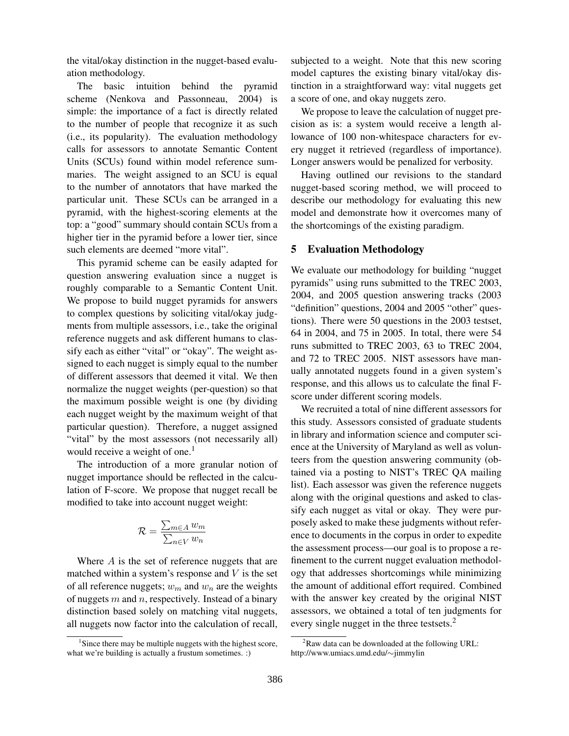the vital/okay distinction in the nugget-based evaluation methodology.

The basic intuition behind the pyramid scheme (Nenkova and Passonneau, 2004) is simple: the importance of a fact is directly related to the number of people that recognize it as such (i.e., its popularity). The evaluation methodology calls for assessors to annotate Semantic Content Units (SCUs) found within model reference summaries. The weight assigned to an SCU is equal to the number of annotators that have marked the particular unit. These SCUs can be arranged in a pyramid, with the highest-scoring elements at the top: a "good" summary should contain SCUs from a higher tier in the pyramid before a lower tier, since such elements are deemed "more vital".

This pyramid scheme can be easily adapted for question answering evaluation since a nugget is roughly comparable to a Semantic Content Unit. We propose to build nugget pyramids for answers to complex questions by soliciting vital/okay judgments from multiple assessors, i.e., take the original reference nuggets and ask different humans to classify each as either "vital" or "okay". The weight assigned to each nugget is simply equal to the number of different assessors that deemed it vital. We then normalize the nugget weights (per-question) so that the maximum possible weight is one (by dividing each nugget weight by the maximum weight of that particular question). Therefore, a nugget assigned "vital" by the most assessors (not necessarily all) would receive a weight of one.<sup>1</sup>

The introduction of a more granular notion of nugget importance should be reflected in the calculation of F-score. We propose that nugget recall be modified to take into account nugget weight:

$$
\mathcal{R} = \frac{\sum_{m \in A} w_m}{\sum_{n \in V} w_n}
$$

Where A is the set of reference nuggets that are matched within a system's response and  $V$  is the set of all reference nuggets;  $w_m$  and  $w_n$  are the weights of nuggets  $m$  and  $n$ , respectively. Instead of a binary distinction based solely on matching vital nuggets, all nuggets now factor into the calculation of recall, subjected to a weight. Note that this new scoring model captures the existing binary vital/okay distinction in a straightforward way: vital nuggets get a score of one, and okay nuggets zero.

We propose to leave the calculation of nugget precision as is: a system would receive a length allowance of 100 non-whitespace characters for every nugget it retrieved (regardless of importance). Longer answers would be penalized for verbosity.

Having outlined our revisions to the standard nugget-based scoring method, we will proceed to describe our methodology for evaluating this new model and demonstrate how it overcomes many of the shortcomings of the existing paradigm.

#### 5 Evaluation Methodology

We evaluate our methodology for building "nugget pyramids" using runs submitted to the TREC 2003, 2004, and 2005 question answering tracks (2003 "definition" questions, 2004 and 2005 "other" questions). There were 50 questions in the 2003 testset, 64 in 2004, and 75 in 2005. In total, there were 54 runs submitted to TREC 2003, 63 to TREC 2004, and 72 to TREC 2005. NIST assessors have manually annotated nuggets found in a given system's response, and this allows us to calculate the final Fscore under different scoring models.

We recruited a total of nine different assessors for this study. Assessors consisted of graduate students in library and information science and computer science at the University of Maryland as well as volunteers from the question answering community (obtained via a posting to NIST's TREC QA mailing list). Each assessor was given the reference nuggets along with the original questions and asked to classify each nugget as vital or okay. They were purposely asked to make these judgments without reference to documents in the corpus in order to expedite the assessment process—our goal is to propose a refinement to the current nugget evaluation methodology that addresses shortcomings while minimizing the amount of additional effort required. Combined with the answer key created by the original NIST assessors, we obtained a total of ten judgments for every single nugget in the three testsets.<sup>2</sup>

 $1$ Since there may be multiple nuggets with the highest score, what we're building is actually a frustum sometimes. :)

 ${}^{2}$ Raw data can be downloaded at the following URL: http://www.umiacs.umd.edu/∼jimmylin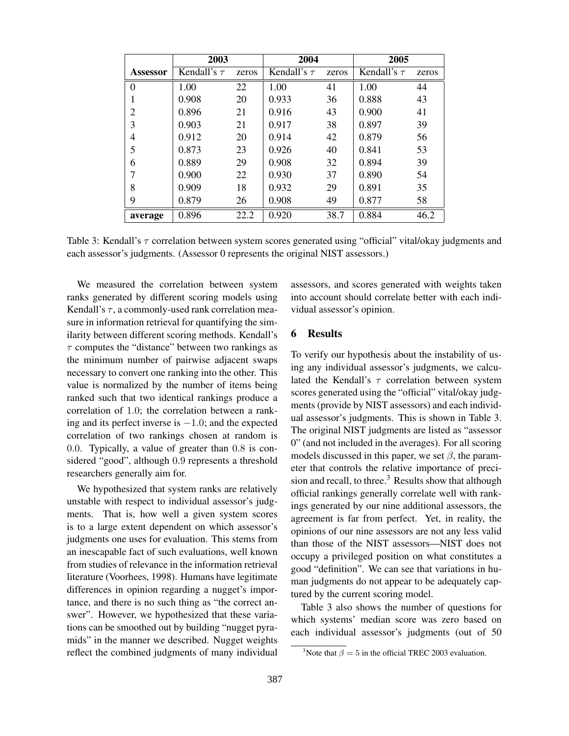|                 | 2003             |       | 2004             |       | 2005             |       |
|-----------------|------------------|-------|------------------|-------|------------------|-------|
| <b>Assessor</b> | Kendall's $\tau$ | zeros | Kendall's $\tau$ | zeros | Kendall's $\tau$ | zeros |
| $\theta$        | 1.00             | 22    | 1.00             | 41    | 1.00             | 44    |
| 1               | 0.908            | 20    | 0.933            | 36    | 0.888            | 43    |
| 2               | 0.896            | 21    | 0.916            | 43    | 0.900            | 41    |
| 3               | 0.903            | 21    | 0.917            | 38    | 0.897            | 39    |
| 4               | 0.912            | 20    | 0.914            | 42    | 0.879            | 56    |
| 5               | 0.873            | 23    | 0.926            | 40    | 0.841            | 53    |
| 6               | 0.889            | 29    | 0.908            | 32    | 0.894            | 39    |
| 7               | 0.900            | 22    | 0.930            | 37    | 0.890            | 54    |
| 8               | 0.909            | 18    | 0.932            | 29    | 0.891            | 35    |
| 9               | 0.879            | 26    | 0.908            | 49    | 0.877            | 58    |
| average         | 0.896            | 22.2  | 0.920            | 38.7  | 0.884            | 46.2  |

Table 3: Kendall's  $\tau$  correlation between system scores generated using "official" vital/okay judgments and each assessor's judgments. (Assessor 0 represents the original NIST assessors.)

We measured the correlation between system ranks generated by different scoring models using Kendall's  $\tau$ , a commonly-used rank correlation measure in information retrieval for quantifying the similarity between different scoring methods. Kendall's  $\tau$  computes the "distance" between two rankings as the minimum number of pairwise adjacent swaps necessary to convert one ranking into the other. This value is normalized by the number of items being ranked such that two identical rankings produce a correlation of 1.0; the correlation between a ranking and its perfect inverse is  $-1.0$ ; and the expected correlation of two rankings chosen at random is 0.0. Typically, a value of greater than 0.8 is considered "good", although 0.9 represents a threshold researchers generally aim for.

We hypothesized that system ranks are relatively unstable with respect to individual assessor's judgments. That is, how well a given system scores is to a large extent dependent on which assessor's judgments one uses for evaluation. This stems from an inescapable fact of such evaluations, well known from studies of relevance in the information retrieval literature (Voorhees, 1998). Humans have legitimate differences in opinion regarding a nugget's importance, and there is no such thing as "the correct answer". However, we hypothesized that these variations can be smoothed out by building "nugget pyramids" in the manner we described. Nugget weights reflect the combined judgments of many individual assessors, and scores generated with weights taken into account should correlate better with each individual assessor's opinion.

## 6 Results

To verify our hypothesis about the instability of using any individual assessor's judgments, we calculated the Kendall's  $\tau$  correlation between system scores generated using the "official" vital/okay judgments (provide by NIST assessors) and each individual assessor's judgments. This is shown in Table 3. The original NIST judgments are listed as "assessor 0" (and not included in the averages). For all scoring models discussed in this paper, we set  $\beta$ , the parameter that controls the relative importance of precision and recall, to three.<sup>3</sup> Results show that although official rankings generally correlate well with rankings generated by our nine additional assessors, the agreement is far from perfect. Yet, in reality, the opinions of our nine assessors are not any less valid than those of the NIST assessors—NIST does not occupy a privileged position on what constitutes a good "definition". We can see that variations in human judgments do not appear to be adequately captured by the current scoring model.

Table 3 also shows the number of questions for which systems' median score was zero based on each individual assessor's judgments (out of 50

<sup>&</sup>lt;sup>3</sup>Note that  $\beta = 5$  in the official TREC 2003 evaluation.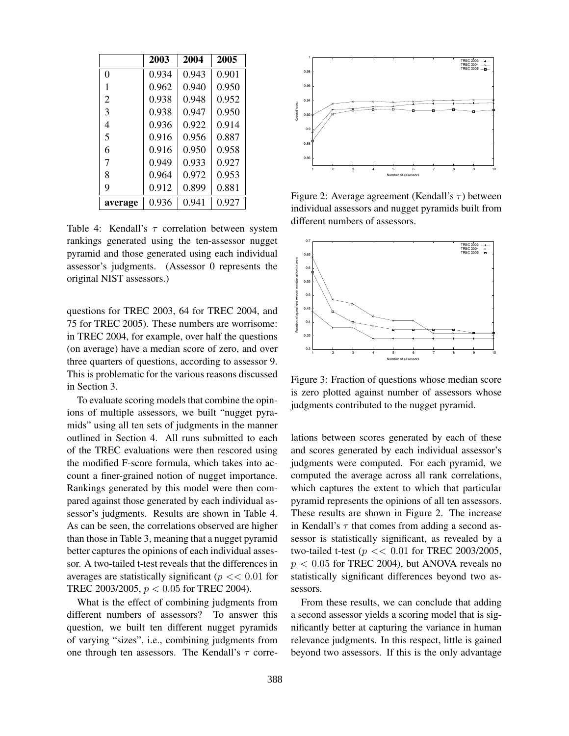|                | 2003  | 2004  | 2005  |
|----------------|-------|-------|-------|
| 0              | 0.934 | 0.943 | 0.901 |
| 1              | 0.962 | 0.940 | 0.950 |
| $\overline{c}$ | 0.938 | 0.948 | 0.952 |
| 3              | 0.938 | 0.947 | 0.950 |
| 4              | 0.936 | 0.922 | 0.914 |
| 5              | 0.916 | 0.956 | 0.887 |
| 6              | 0.916 | 0.950 | 0.958 |
| 7              | 0.949 | 0.933 | 0.927 |
| 8              | 0.964 | 0.972 | 0.953 |
| 9              | 0.912 | 0.899 | 0.881 |
| average        | 0.936 | 0.941 | 0.927 |

Table 4: Kendall's  $\tau$  correlation between system rankings generated using the ten-assessor nugget pyramid and those generated using each individual assessor's judgments. (Assessor 0 represents the original NIST assessors.)

questions for TREC 2003, 64 for TREC 2004, and 75 for TREC 2005). These numbers are worrisome: in TREC 2004, for example, over half the questions (on average) have a median score of zero, and over three quarters of questions, according to assessor 9. This is problematic for the various reasons discussed in Section 3.

To evaluate scoring models that combine the opinions of multiple assessors, we built "nugget pyramids" using all ten sets of judgments in the manner outlined in Section 4. All runs submitted to each of the TREC evaluations were then rescored using the modified F-score formula, which takes into account a finer-grained notion of nugget importance. Rankings generated by this model were then compared against those generated by each individual assessor's judgments. Results are shown in Table 4. As can be seen, the correlations observed are higher than those in Table 3, meaning that a nugget pyramid better captures the opinions of each individual assessor. A two-tailed t-test reveals that the differences in averages are statistically significant ( $p \ll 0.01$  for TREC 2003/2005,  $p < 0.05$  for TREC 2004).

What is the effect of combining judgments from different numbers of assessors? To answer this question, we built ten different nugget pyramids of varying "sizes", i.e., combining judgments from one through ten assessors. The Kendall's  $\tau$  corre-



Figure 2: Average agreement (Kendall's  $\tau$ ) between individual assessors and nugget pyramids built from different numbers of assessors.



Figure 3: Fraction of questions whose median score is zero plotted against number of assessors whose judgments contributed to the nugget pyramid.

lations between scores generated by each of these and scores generated by each individual assessor's judgments were computed. For each pyramid, we computed the average across all rank correlations, which captures the extent to which that particular pyramid represents the opinions of all ten assessors. These results are shown in Figure 2. The increase in Kendall's  $\tau$  that comes from adding a second assessor is statistically significant, as revealed by a two-tailed t-test ( $p \ll 0.01$  for TREC 2003/2005,  $p < 0.05$  for TREC 2004), but ANOVA reveals no statistically significant differences beyond two assessors.

From these results, we can conclude that adding a second assessor yields a scoring model that is significantly better at capturing the variance in human relevance judgments. In this respect, little is gained beyond two assessors. If this is the only advantage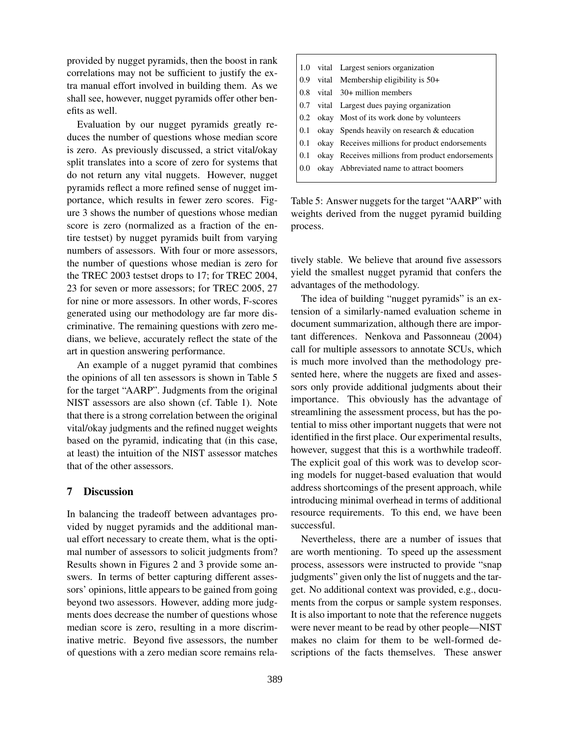provided by nugget pyramids, then the boost in rank correlations may not be sufficient to justify the extra manual effort involved in building them. As we shall see, however, nugget pyramids offer other benefits as well.

Evaluation by our nugget pyramids greatly reduces the number of questions whose median score is zero. As previously discussed, a strict vital/okay split translates into a score of zero for systems that do not return any vital nuggets. However, nugget pyramids reflect a more refined sense of nugget importance, which results in fewer zero scores. Figure 3 shows the number of questions whose median score is zero (normalized as a fraction of the entire testset) by nugget pyramids built from varying numbers of assessors. With four or more assessors, the number of questions whose median is zero for the TREC 2003 testset drops to 17; for TREC 2004, 23 for seven or more assessors; for TREC 2005, 27 for nine or more assessors. In other words, F-scores generated using our methodology are far more discriminative. The remaining questions with zero medians, we believe, accurately reflect the state of the art in question answering performance.

An example of a nugget pyramid that combines the opinions of all ten assessors is shown in Table 5 for the target "AARP". Judgments from the original NIST assessors are also shown (cf. Table 1). Note that there is a strong correlation between the original vital/okay judgments and the refined nugget weights based on the pyramid, indicating that (in this case, at least) the intuition of the NIST assessor matches that of the other assessors.

# 7 Discussion

In balancing the tradeoff between advantages provided by nugget pyramids and the additional manual effort necessary to create them, what is the optimal number of assessors to solicit judgments from? Results shown in Figures 2 and 3 provide some answers. In terms of better capturing different assessors' opinions, little appears to be gained from going beyond two assessors. However, adding more judgments does decrease the number of questions whose median score is zero, resulting in a more discriminative metric. Beyond five assessors, the number of questions with a zero median score remains rela-

| 1.0 | vital Largest seniors organization                 |
|-----|----------------------------------------------------|
| 0.9 | vital Membership eligibility is $50+$              |
|     | $0.8$ vital $30+$ million members                  |
|     | 0.7 vital Largest dues paying organization         |
|     | 0.2 okay Most of its work done by volunteers       |
|     | 0.1 okay Spends heavily on research $\&$ education |
| 0.1 | okay Receives millions for product endorsements    |
| 0.1 | okay Receives millions from product endorsements   |
| 0.0 | okay Abbreviated name to attract boomers           |
|     |                                                    |

Table 5: Answer nuggets for the target "AARP" with weights derived from the nugget pyramid building process.

tively stable. We believe that around five assessors yield the smallest nugget pyramid that confers the advantages of the methodology.

The idea of building "nugget pyramids" is an extension of a similarly-named evaluation scheme in document summarization, although there are important differences. Nenkova and Passonneau (2004) call for multiple assessors to annotate SCUs, which is much more involved than the methodology presented here, where the nuggets are fixed and assessors only provide additional judgments about their importance. This obviously has the advantage of streamlining the assessment process, but has the potential to miss other important nuggets that were not identified in the first place. Our experimental results, however, suggest that this is a worthwhile tradeoff. The explicit goal of this work was to develop scoring models for nugget-based evaluation that would address shortcomings of the present approach, while introducing minimal overhead in terms of additional resource requirements. To this end, we have been successful.

Nevertheless, there are a number of issues that are worth mentioning. To speed up the assessment process, assessors were instructed to provide "snap judgments" given only the list of nuggets and the target. No additional context was provided, e.g., documents from the corpus or sample system responses. It is also important to note that the reference nuggets were never meant to be read by other people—NIST makes no claim for them to be well-formed descriptions of the facts themselves. These answer